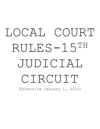# LOCAL COURT RULES-15TH JUDICIAL CIRCUIT (Effective January 1, 2022)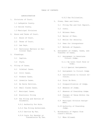ADMINISTRATION

- 1. Divisions of Court.
	- 1.1 Lafayette County.
	- 1.2 Saline County.
	- 1.3 Municipal Divisions
- 2. Hours and Terms of Court.
	- 2.1 Hours of Court.
	- 2.2 Terms of Court.
	- 2.3 Law Days.
	- 2.4 Particular Matters on Particular Days.
- 3. Pleadings.
	- 3.1 Caption.
	- 3.2 Style.
- 4. Filing of Cases.
	- 4.1 Criminal Cases.
	- 4.2 Civil Cases.
	- 4.3 Probate Cases.
	- 4.4 Juvenile Cases.
	- 4.5 Ex Parte Petition.
	- 4.6 Small Claims Cases.
	- 4.7 Municipal Cases.
	- 4.8 Electronic Filing
	- 4.9 Fax Filing and Service of Documents.
		- 4.9.1 Authority For Rule.
		- 4.9.2 Fax Filing Authorized.
		- 4.9.3 Service By Fax.
		- 4.9.4 Costs for Receipt or Transmission By Fax. 7.1 When Allowed.

4.9.5 Fax Utilization.

- 5. Fines, Fees and Costs.
	- 5.1 Filing Fee and Cost Deposit.
	- 5.2 Costs.
	- 5.3 Witness Fees.
	- 5.4 Waiver of Fees.
	- 5.5 Motion for Security.
	- 5.6 Fees for Interpreters
	- 5.7 Methods of Payment.
- 6. Assignment of Judges, Cases, and Transfer of Cases.
	- 6.1 Assignment to Associate Circuit Judge.
		- 6.1.1 By Local Court Rule or Order.
		- 6.1.2 Special Assignments.
	- 6.2 Assignment to Circuit Judge
	- 6.3 Certification to Circuit Division.
	- 6.4 Trial De Novo.
	- 6.5 Disqualification of Judge.
	- 6.6 Absence of Judge.
	- 6.7 Absence of Presiding Judge.
	- 6.8 Changes of Venue Within the Circuit.
	- 6.9 Municipal Division Assignment.
	- 6.10 Authority of Presiding Judge.
- 7. Withdrawals of Papers from Clerk's Office.
	-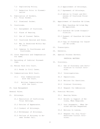- 7.2 Duplicating Policy.
- 7.3 Redaction Prior to Dissemination
- 8. Publication of Dockets. 8.1 Trial Docket.
	-
- 9. Courtrooms.
	- 9.1 Assignment of Courtroom.
	- 9.2 Place of Hearing.
	- 9.3 Use of Counsel Table.
	- 9.4 Courtroom Decorum and Dress.
	- 9.5 Who Is Permitted Within Bar of Court.
	- 9.6 Cameras In Courthouses and Courtrooms.
- 10. Court Reporters and Compensation 28. Special Process Servers. for Same.
- 11. Recording of Judicial Proceedings.
- 12. Monies Paid Into Court.
	- 12.1 Bonds in Civil Cases.
- 13. Communications With Court.
	- 13.1 Oral Communications with the Court.
	- 13.2 Written Communications with the Court.
- 20. Case Management
- General Rules.
- 21. Attorneys.
	- 21.1 Resolution of Conflicting Trial Settings.
	- 21.2 Entries of Appearance.
	- 21.3 Conduct of Attorneys.
	- 21.4 Withdrawal of Attorneys.
	- 21.5 Failure of Attorney to Answer Docket Call.

21.6 Appointment of Attorneys.

- 21.7 Agreement of Attorneys.
- 21.8 Advice to Client and Witnesses of Courtroom Procedures.
- 8.2 Dismissal Docket. 22. Appointment of Guardian Ad Litem.
	- 22.1 When Guardian Ad Litem May Be Appointed.
	- 22.2 Guardian Ad Litem Disqualification.
	- 22.3 Payment of Guardian Ad Litem Fees.
	- 22.4 Copy of Pleadings for Guardian Ad Litem.
	- 23. Transcripts.
	- 24. Exhibits.
	-

PRETRIAL MATTERS

- 32. Discovery.
	- 32.1 Use of Discovery and Certification to Circuit Division.
	- 32.2 Interrogatories.
	- 32.3 Depositions.
	- 32.4 Motions for Sanctions.
	- 32.5 Criminal Discovery.
	- 32.6 Request for Admissions
- 33. Pretrial Motions.
	- 33.1 Hearing Dates.
	- 33.2 Briefs in Support of Motions, When Required.
	- 33.3 Oral Arguments When Desired and How Requested.
	- 33.4 Motions In Limine.
	- 33.5 Request for Jury Trial-Associate Circuit Divisions.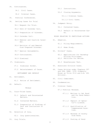- 34. Continuances.
	- 34.1 Civil Cases.

34.2 Criminal Cases.

- 35. Pretrial Conferences.
- 36. Setting Cases for Trial
	- 36.1 Request for Trial.
	- 36.2 Date of Calendar Call.
	- 36.3 Preparation of Calendar.
	- 36.4 Calendar Call.
	- 36.5 Removal and Inactive Calen-61. Adoption. dar.
	- 36.6 Revision of and Removal from Prepared Calendar.
	- 36.7 Special Assignments.
	- 36.8 Continuances.
	- 36.9 Dismissal
- 37. Dismissals.
	- 37.1 Dismissal Docket.
	- SETTLEMENT AND DEFAULT
- 41. Settlement.
	- 41.1 Notice of Settlement.
- 42. Default.
- TRIALS
- 51. Court-Tried Cases.
	- 51.1 Default and Uncontested Matters.
	- 51.2 Contested Matters.
	- 51.3 Preparation of Findings of Fact and Conclusions of Law.
- 52. Selection of Jury.
	- 52.1 Jury Questionnaires.
- 53. Jury Trials.
- 53.1 Instructions.
- 53.2 Closing Arguments.
	- 53.1.1 Criminal Cases.
	- 53.1.2 Civil Cases.
- 54. Judgment Entry.
	- 54.1 Contested Cases.
	- 54.2 Default or Uncontested Cases.
- RULES RELATING TO PARTICULAR ACTIONS
- - 61.1 Filing Requirements.
	- 61.2 Home Study.
- 62. Drivers' Cases.
	- 62.1 Applications for Hardship Driving Privileges. 62.2 Petitions for Review.
	- 62.3 Breathalyzer Test.
	- 63. Associate Division Cases.
- 37.2 Reinstatement of Cause. 64. Cases Arising under Chapters 207 and 208, RSMo. 1978 (Commonly Known as Title IV-D and H.B. 601 Actions).
	- 65. Civil Commitment.
	- 66. Condemnation.
	- 67. Criminal Cases.
		- 67.1 Pretrial Release.
			- 67.1.1 Motions to Set Bond and for Bond Reduc tion.
			- 67.1.2 Deposit of Opera tor's License.
			- 67.1.3 Qualification of Compensated Sure ties.
			- 67.1.4 Release of Surety from Bond.
			- 67.1.5 Posting of Bond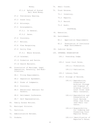|     |                | Money.                                                             |
|-----|----------------|--------------------------------------------------------------------|
|     |                | 67.1.6 Refund of Posted<br>Bail Bond Money.                        |
|     |                | 67.2 Preliminary Hearing.                                          |
|     |                | 67.3 Grand Jury.                                                   |
|     |                | 67.4 Attorneys.                                                    |
|     |                | 67.5 Arraignments.                                                 |
|     |                | 67.5.1 In General.                                                 |
|     |                | 67.5.2 Dates.                                                      |
|     |                | 67.6 Discovery.                                                    |
|     |                | 67.7 Motions.                                                      |
|     |                | 67.8 Plea Bargaining.                                              |
|     |                | 67.9 Guilty Plea                                                   |
|     |                | 67.9.1 Where Entered.                                              |
|     |                | 67.10 Calendar.                                                    |
|     |                | 67.11 Probation and Parole.                                        |
|     |                | 67.12 Search Warrants.                                             |
| 68. | fications.     | Dissolution of Marriage, Legal<br>Separation, Paternity, and Modi- |
|     |                | 68.1 Filing Requirements.                                          |
|     |                | 68.2 Separation Agreement.                                         |
|     |                | 68.3 Forms of Judgments.                                           |
|     |                | 68.4 Discovery.                                                    |
|     |                | 68.5 Educational Seminars for<br>Parents.                          |
|     |                | 68.6 Settlement Conference.                                        |
|     |                | 68.7 Self Representation.                                          |
|     |                | 69. Family Access Motions.                                         |
|     |                | 70. Municipal Division.                                            |
|     | 71. Partition. |                                                                    |
|     |                | 72. Administrative Reviews.                                        |
|     | 73. Probate.   |                                                                    |

75. Trust Estates. 75.1 Inventory. 75.2 Reports. 75.3 Record. 75.4 Audit. POSTTRIAL

- 81. Execution.
- 82. Garnishment.

74. Small Claims.

- 82.1 Application Requirements
- 82.2 Termination of Continuous Wage Garnishments
- 83. Judicial Sales.
- 100. INTERNAL ORGANIZATION
	- 100.1 Presiding Judge.
	- 100.2 Local Court Rules.
		- 100.2.1 Formulation.
		- 100.2.2 Publication.
	- 100.3 Library Fund.
	- 100.4 Storage of Records.
		- 100.4.1 Reproduction, Preservation Archival Storage and Disposal of Original Circuit Court Files (and Their Contents).
		- 100.4.2 Reproduction and Preservation of Court Records Other than Files (and Their Con tents).
		- 100.4.3 Responsibility for Indexing and Preserving Court Reporter Notes.
		- 100.4.4 Identification of Reporter's Notes.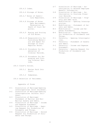- 100.4.5 Index.
- 100.4.6 Storage of Notes.
- 100.4.7 Notes of Substi tute Reporters.
- 100.4.8 Storage of Notes Upon Retirement, Termination or Death of Court Re porter.
- of Old Notes.
- 100.4.10 Responsibility for Furnishing Materi- Storage of Court Reporter Notes.
	- amination of Criminal Records.
	- 100.4.12 Procedure for Ex punging and Clos ing Criminal Rec ords.
	- 100.5 Clerk's Duties.
		- 100.5.1 Monies Paid Into Court.

100.5.2 Subpoenas.

100.6 Selection of Veniremen.

Appendix of Forms

- D-1 Dissolution of Marriage-Opening Interrogatories (with children).
- D-2 Dissolution of Marriage-Opening Interrogatories (without children).
- D-3 Dissolution of Marriage-Statement of Marital and Non-Marital Assets and Debts.
- D-4 Dissolution of Marriage Income and Expense Statement.
- D-5 Dissolution of Marriage Opening Request for Production of Documents and Things.
- D-6 Dissolution of Marriage Second Request for Production of Documents and Things.
- D-7 Dissolution of Marriage Authorization to Release Employee Benefit Information.
- D-8 Dissolution of Marriage Authorization to Disclose Financial Records.
	- D-9 Dissolution of Marriage Property and Debt Grid.
- M-1 Modification Opening Interrogatories.
	- M-2 Modification Statement of Assets and Debts.
		- M-3 Modification Income and Expense Statements.
- 100.4.9 Boxing and Storing M-4 Modification Opening Request for Production of Documents and Things.
	- P-1 Paternity Opening Interrogatories.
	- als and Space for P-2 Paternity Statement of Assets and Debts.
		- P-3 Paternity Income and Expense Statement.
- 100.4.11 Procedure for Ex- P-4 Paternity Opening Request for Production of Documents and Things.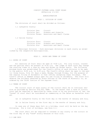## CIRCUIT FIFTEEN LOCAL COURT RULES [Effective 1/1/22]

## ADMINISTRATION

#### RULE 1. DIVISION OF COURT

The divisions of court shall be divided as follows:

1.1 Lafayette County:

 Division One: Circuit Division Two: Probate and Juvenile Division Three: Associate and Small Claims

1.2 Saline County:

 Division Four: Circuit Division Five: Probate and Juvenile Division Six: Associate and Small Claims

1.3 Municipal Division – Such municipal divisions in each county as established by the respective municipalities.

## RULE 2. HOURS AND TERMS OF COURT

# 2.1 HOURS OF COURT

 All sessions of Court shall be open at 9:00 a.m. For jury trials, counsel and the parties shall be present at 8:30 a.m. The judge of each court may change the starting times on a case by case and docket by docket basis. The following minimum hours are established for the Clerk's office of each division to be open to the public: 8:00 a.m. to 4:30 p.m. The Clerk's office shall be open to the public those hours, five (5) days a week, Monday through Friday, for the purpose of the regular filing of documents in that office; excepting legal holidays. The Clerk's office is deemed always open for the filing of documents. The Court will observe the holidays observed by State Offices of the State of Missouri; or, as ordered by the Chief Justice of the Supreme Court.

2.2 TERMS OF COURT

 The circuit court of each county of the circuit shall be in continual session as provided by Section 478.205, RSMo. To the extent that a term of circuit court may be required or specified by these rules or by any provisions of law, the "terms" of court shall be considered as commencing on the dates as hereafter stated:

(a) in Lafayette County on the first day in the months of January and July.

(b) in Saline County on the first day in the months of January and July.

 In case any of these days fall on a holiday, court will be held on the day following. For a list of holidays, see Rule 2.1.

 The court shall not be required to convene in any county in the circuit on the first day of any "term" solely because of this rule.

2.3 LAW DAYS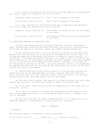2.3.1 Criminal Law Days for the Circuit Court may be specially designated by the Circuit Judge, but otherwise will be as follows:

Lafayette County (Division I): The  $1^{st}$  and  $3^{rd}$  Monday of the month.

Saline County (Division IV): The 2<sup>nd</sup> and 4<sup>th</sup> Monday of the month.

 2.3.2 Civil Law Days for the Circuit Court may be specially designated by the Circuit Judge, but otherwise will be as follows:

Lafayette County (Division I): The Tuesday following the 1st and 3rd Monday of the month. Saline County (Division IV): The Tuesday following the 2nd and 4th Monday of the month.

2.4 PARTICULAR MATTERS ON PARTICULAR DAYS

 (a) Only uncontested matters, discovery disputes, criminal arraignments, pleas, sentencings, probation-revocation hearings, and pre-trial conferences may be noticed for hearing on law days, absent the judge's express permission.

 (b) All notices of intent to call up matters for hearing on Law Days shall specify the time the matter is to be heard as provided by the Circuit Clerk. Attorneys are expected to be present ten minutes in advance of their setting. If any matter is not ready when called, the party not ready is subject to having the matter heard in his or her absence or having the matter passed. Any matter passed will go to the bottom of the docket for that session, and then if not ready, it will be passed to the end of the day. Any party causing a matter to be passed may be assessed the fees and cost incurred by the other party as a result of the party causing the matter to be passed.

 (c) Counsel desiring to have matters heard on a law day shall provide the required notice to the opposing party and shall register each case they wish heard, with the time it is set, with the Circuit Clerk by 4:30 p.m. on the Thursday preceding so the clerk may prepare the Law Day Docket.

 (d) The clerk shall register the cases as notified by counsel and shall then prepare and provide to the court and counsel a docket listing the cases.

 (e) On law days, cases will be called for disposition in the order shown on the docket listing.

 (f) It shall be the duty of counsel who wish matters to be heard on a law day to cause opposing counsel or non-represented opposing party to appear by notice or agreement.

 (g) The court may vary the order of hearing cases in its discretion to accommodate exigent circumstances for counsel, parties or witnesses.

#### RULE 3. PLEADINGS

3.1 CAPTION

The following caption is required on initial pleadings:

In the Circuit Court of \_\_\_\_\_\_\_\_ County, at \_\_\_\_\_\_\_, Missouri, Division \_\_\_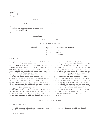| (Name)<br>(Address)<br>(City)                      |          |
|----------------------------------------------------|----------|
| Plaintiff,                                         |          |
|                                                    |          |
| VS.                                                | Case No. |
| (Name)                                             |          |
| (Address or appropriate directions<br>for service) |          |
| (City)                                             |          |
| Respondent.                                        |          |

# TITLE OF PLEADING

#### BODY OF THE PLEADING

Signed (Attorney of Record, or Party) (Address) (Telephone Number) (Facsimile Number) (Missouri Bar Number)

## 3.2 STYLE

All pleadings and motions intended for filing in any case shall be legibly written on one side of the paper only, either typewritten or printed, double-spaced, on 8½ by 11 inch paper with a top and left-hand margin of at least one inch; shall be signed by the party or his attorney offering the same for filing together with the address, telephone and bar identification numbers of the trial attorney in the case; shall be captioned with only the style and number of the case in which it is being filed unless otherwise permitted by the judge on the case, the character of the pleadings and motions and, if a petition, the nature of the suit and, if consisting of more than one sheet, shall include page numbers at the bottom. Paragraphs of pleadings shall be numbered consecutively. An attorney offering a paper for filing may sign it on behalf of a law firm or attorney when duly authorized to do so; but he must also subscribe his own signature on said paper. (The attorney whose signature is affixed to the pleading or paper shall be deemed to be the trial attorney in the case.) Where service of summons or other pleading is requested a copy of the pleading for each party to be served shall be filed and shall include the address or other sufficient directions for service for each party to be served and appropriate service instruction if service is to be arranged by the circuit clerk. Motions and notices are to be filed as separate documents. Motions and orders shall be filed as separate documents.

#### RULE 4. FILING OF CASES

# 4.1 CRIMINAL CASES

 All cases, pleadings, motions, and papers related thereto shall be filed with the circuit clerk of the county.

4.2 CIVIL CASES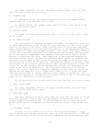All cases, pleadings, motions, and papers related thereto shall be filed with the circuit clerk of the county.

# 4.3 PROBATE CASES

 A. Lafayette County. All cases, pleadings, motions, and papers related thereto shall be filed with the circuit clerk.

 B. Saline County. All probate cases shall be filed in the office of the clerk of the Probate Court.

#### 4.4 JUVENILE CASES

 All cases involving juvenile matters shall be filed with the circuit clerk of the county.

# 4.5 EX PARTE PETITION

 For the purpose of implementing Chapter 455 RSMo., the Sheriff of each county shall have available in his office, all forms necessary for the filing of petitions for protection from abuse. After business hours or on holidays and weekends, parties seeking to file said petitions shall go to the appropriate Sheriff's office, where all forms will be made available. The Circuit Clerk shall compose a concise set of written instructions for said parties use and shall provide personnel of the Sheriff's Department with adequate training to allow them to assist parties in completing the forms. Upon completion of the forms and signature by the party seeking relief, the Sheriff's personnel shall contact by telephone any Associate Circuit Judge in that county and advise the judge of the petition and the particulars written on the petition. The judge may execute an ex parte order and transmit it by facsimile and the Sheriff shall proceed forthwith to serve the order. On the next business day the Sheriff shall deliver all the papers to the Clerk in the county as appropriate. The Clerk shall officially file the documents. The Circuit Clerk shall prepare an appropriate form order for use by the Sheriff and the Associate Circuit Judges shall supply a list of dates and times they will be available to conduct hearings on full orders of protection. Said list shall be supplied to the Sheriff on or before the first day of each month and shall be for a period of at least one month.

All Ex Parte Petitions in each county shall be filed with the circuit clerk.

#### 4.6 SMALL CLAIMS CASES

 All cases, pleadings, motions, and papers related thereto shall be filed with the circuit clerk of the county.

#### 4.7 MUNICIPAL CASES

 Municipal ordinance violation cases shall be filed with the clerk of the appropriate municipal division when that municipality has made provisions for a municipal judge as provided by law. If the municipality has not made such provisions, the filing for a municipality shall be with the circuit clerk of the county.

## 4.8 ELECTRONIC FILING

 Pursuant to Court Operating Rule 27.01, the following documents, except those filed by self-represented parties, shall be filed electronically in PDF format in all divisions of the Circuit Courts of Lafayette and Saline Counties, Mis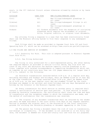souri, in the 15<sup>th</sup> Judicial Circuit unless otherwise allowed by statute or by leave of Court:

| DIVISION | CASE TYPE | NEW FILINGS/PENDING CASES                                                                                                                                              |
|----------|-----------|------------------------------------------------------------------------------------------------------------------------------------------------------------------------|
| Civil    | All       | New filings/subsequent pleadings in<br>all cases                                                                                                                       |
| Criminal | All       | New filings/subsequent filings in all<br>cases                                                                                                                         |
| Juvenile | All       | New filings/subsequent pleadings in<br>all cases                                                                                                                       |
| Probate  |           | All Probate documents with the exception of initiating<br>pleadings which require the attachment of original<br>wills, original codicils, or original trust documents. |

Any attorney filing a response to a case that has been electronically filed shall use the Missouri eFiling System to file their response to any subsequent filings.

 Such filings shall be made as provided in Supreme Court Rule 103 and Court Operating Rule 27, which can be accessed at:http://www.courts.mo.gov/efilingrules.

4.9 FAX FILING AND SERVICE OF DOCUMENTS

 4.9.1 Authority for Rule. This rule is adopted pursuant to Missouri Supreme Court Rule 43.01.

4.9.2. Fax Filing Authorized

Fax filing is only authorized for a self-represented party, who after making the required deposit as provided in section 4.9.4(c) below, may file with the clerk of any court who maintains fax machine capacity routine pleadings or motions, together with related correspondence or supporting documentation which taken together do not constitute more than ten (10) pages measuring not larger than 8 1/2 x 11, subject to the following:

(a) Facsimile transmissions received before 4:30 p.m. of a regular work day, excluding Saturdays and Sundays and holidays, shall be deemed filed as of that day at the time transmitted. Filings received after 4:30 p.m. shall be deemed filed as of 8:00 a.m. on the next regular court day and stamped "filed" by the clerk. Holidays are deemed to be national and state holidays and any days designated as a holiday by the Governor or the Missouri Supreme Court.

 (b) Every transmission for which service on another party is required shall contain a certification of service upon such parties. If such service is accomplished by facsimile transmission, the certification shall state the time and date of transmission and the telephone number to which the transmission was made, and the method of confirmation that the transmission was received.

(c) The original of any document transmitted shall be retained by the sender and shall be made available to the court within five days of any request therefor. Failure to produce the original shall in the discretion of the court constitute grounds for striking the facsimile pleading or document appearing in the files.

 (d) The person fax filing a document bears the risk of loss in transmission, non-receipt or illegibility. If the document is not received or is not fully legible, the document is deemed not filed and totally null and void for all purposes.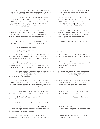(e) If a party requests from the clerk a copy of a pleading bearing a stamp "filed" by facsimile transmission, such party shall provide in advance a fee of \$2.50 for the first page and \$1.00 for each additional page of such document.

 (f) Court orders, judgments, decrees, warrants for arrest, and search warrants may be transmitted to clerks of the various divisions or others by facsimile transmission and until receipt of the original document, shall have the same effect and be acted upon by all persons as if they were the original. The court shall cause the original to be transmitted promptly to the appropriate clerk or officer if requested.

(g) The clerk of any court shall not accept facsimile transmission of any pleading requiring a contemporaneous filing fee, bond or other case deposit, copies for summons and service, documents which are required to be verified or documents which require contemporaneous personal appearance such as temporary restraining order, ex parte orders, petitions for writs, etc.

 (h) Exception to the above fax rules may be allowed with prior approval of the Judge of the applicable division.

4.9.3 Service by Fax.

(a) May only be made by a self-represented party.

 (b) Service of pleadings as set forth in Missouri Supreme Court Rule 43.01 may be made by faxing a copy to any party or attorney to be served who maintains a fax machine for receipt of fax transmissions.

 (c) Any party or attorney who lists a fax number on a letterhead or pleading in the case file or in a telephone or professional directory or otherwise shall be deemed to have consented to receive service of documents by fax from the court, the clerk of any division or any other party or attorney.

 (d) The person faxing the document assumes the risk of loss in transmission, non-receipt or illegibility of the document. If the document is not received or is materially illegible, the document is deemed not served and totally null and void for all purposes.

 (e) The faxed document is presumed delivered and served to the fax telephone number indicated by the sender's fax machine at the date and time of the end of the fax transmission. The sender shall maintain a printout of the fax machine reading supporting such filing and shall produce it if ordered to do so by the court.

 (f) Any fax transmission received after 4:30 o'clock p.m. in the time zone of the recipient shall be deemed served on the following business day.

 (g) Proof of service by fax shall be shown as provided by Missouri Supreme Court Rules.

4.9.4 Costs for Receipt or Transmission by Fax.

 (a) The maintenance of a facsimile device by a clerk's office causes the clerks or the court system additional expense to acquire and maintain a device and phone line to receive these transmissions and often to transfer the transmission to archival quality paper.

 (b) The clerk of a division maintaining a fax machine to receive or transmit documents by fax may charge the person or entity filing by fax up to \$1.00 for re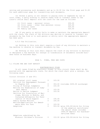ceiving and processing such documents and up to \$2.50 for the first page and \$1.00 for each additional page for transmitting such documents.

 (c) Unless a party is not subject to paying costs or expenses by law or court order, a party wishing to receive faxes from or transmit faxes to the clerk's office shall deposit with the clerk for the case as follows:

| (1) Civil cases - personal injury              | \$50.00 |
|------------------------------------------------|---------|
| $(2)$ Civil cases - other than personal injury | \$25.00 |
| (3) Criminal cases                             | \$25.00 |
| (4) Family Law cases                           | \$25.00 |

 (d) If any party or entity fails to make or maintain the appropriate deposit with the clerk, the clerk of the division may decline to receive or transmit any documents by fax from or to such person or entity until the appropriate deposit has been paid.

4.9.5 Fax Utilization.

 (a) Nothing in this rule shall require a clerk of any division to maintain a fax machine to receive or transmit documents by fax.

 (b) Nothing in this rule shall require the clerk of any division to maintain or designate a fax machine for receipt or transmission of documents outside business hours on business days.

# RULE 5. FINES, FEES AND COSTS

5.1 FILING FEE AND COST DEPOSIT

#### ELECTRONICALLY FILED

 In all cases filed by electronic format in this circuit there shall be deposited with the appropriate clerk, for which the clerk shall give a receipt, the following sums:

Circuit Division (I and IV):

| All original civil cases          | \$ | 103.50 |                                       |
|-----------------------------------|----|--------|---------------------------------------|
| Petition for Expungement Pursuant |    |        |                                       |
| to Chapter 610                    | \$ |        | 353.50 (includes \$250.00 surcharge)  |
| Filing of Foreign Judgments       |    | 103.50 |                                       |
| Motions for Examination of Judg-  |    |        |                                       |
| ment Debtor                       | \$ | 103.50 |                                       |
| Motion to Revive Judgment         |    | 103.50 |                                       |
| Petition for Dissolution of Mar-  |    |        |                                       |
| riage, Motions to Modify, and     |    |        |                                       |
| Contested Affidavits for Term-    |    |        |                                       |
| ination of Child Support          | Ş  | 105.50 |                                       |
| Family Access Motions             | \$ | 105.50 |                                       |
| Motions/Applications for Amend-   |    |        |                                       |
| ments Nunc Pro Tunc               | \$ | 103.50 |                                       |
| Adoptions                         | \$ |        | 553.50 (plus \$30.00/child for filing |
|                                   |    |        | of the adoption certificate-          |
|                                   |    |        | the amount shown includes             |
|                                   |    |        | \$400.00 deposit for Guardian-        |
|                                   |    |        | Ad-Litem fees)                        |
| Adoptions subsidized by the       |    |        |                                       |
| Missouri Children's Division      | \$ |        | 153.50 (plus \$30.00/child for filing |
|                                   |    |        |                                       |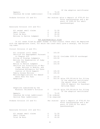| Appeals<br>Guardian Ad Litem (additional)                                                                                                                                     | \$                                              | 70.00<br>\$ As ordered                   | Of the adoption certificate)                                                                                                                           |
|-------------------------------------------------------------------------------------------------------------------------------------------------------------------------------|-------------------------------------------------|------------------------------------------|--------------------------------------------------------------------------------------------------------------------------------------------------------|
| Probate Division (II and V):                                                                                                                                                  |                                                 |                                          | Per statute (plus a deposit of \$750.00 for<br>minor guardianships and a de-<br>posit of \$300.00 for adult<br>guardianships)                          |
| Associate Division (III and VI):                                                                                                                                              |                                                 |                                          |                                                                                                                                                        |
| All except small claims<br>Small Claims<br>Trial De Novo<br>Motions to Revive Judgment                                                                                        | Ş<br>$\boldsymbol{\hat{\varsigma}}$<br>\$<br>\$ | 51.50<br>38.50<br>45.00<br>51.50         |                                                                                                                                                        |
| NOT ELECTRONICALLY FILED                                                                                                                                                      |                                                 |                                          |                                                                                                                                                        |
| In all cases filed by paper format in this circuit there shall be deposited<br>with the appropriate clerk, for which the clerk shall give a receipt, the follow-<br>ing sums: |                                                 |                                          |                                                                                                                                                        |
| Circuit Division (I and IV):                                                                                                                                                  |                                                 |                                          |                                                                                                                                                        |
| All original civil cases<br>Petition for Expungement Pursuant                                                                                                                 | \$                                              | 103.50                                   |                                                                                                                                                        |
| to Chapter 610                                                                                                                                                                | \$                                              |                                          | 353.50 (includes \$250.00 surcharge)                                                                                                                   |
| Filing of Foreign Judgments<br>Motions for Examination of Judg-                                                                                                               | \$                                              | 103.50                                   |                                                                                                                                                        |
| ment Debtor                                                                                                                                                                   | \$                                              | 103.50                                   |                                                                                                                                                        |
| Motion to Revive Judgment<br>Petition for Dissolution of Mar-<br>riage, Motions to Modify, and<br>Contested Affidavits for Term-                                              | \$                                              | 103.50                                   |                                                                                                                                                        |
| ination of Child Support                                                                                                                                                      | Ş                                               | 105.50                                   |                                                                                                                                                        |
| Family Access Motions<br>Motions/Applications for Amend-                                                                                                                      | \$                                              | 105.50                                   |                                                                                                                                                        |
| ments Nunc Pro Tunc                                                                                                                                                           | \$                                              | 103.50                                   |                                                                                                                                                        |
| Adoptions                                                                                                                                                                     | \$                                              |                                          | 553.50 (plus \$30.00/child for filing<br>of the adoption certificate-<br>the amount shown includes<br>\$400.00 deposit for Guardian-<br>Ad-Litem fees) |
| Adoptions subsidized by the<br>Missouri Children's Division                                                                                                                   | $\mathsf{S}$                                    |                                          | 153.50 (plus \$30.00/child for filing<br>Of the adoption certificate)                                                                                  |
| Appeals<br>Guardian Ad Litem (additional)<br>Service Fees (additional)                                                                                                        | \$                                              | 70.00<br>\$ As ordered<br>\$ As required |                                                                                                                                                        |
| Probate Division (II and V):                                                                                                                                                  |                                                 |                                          | Per statute (plus a deposit of \$750.00 for<br>minor guardianships and a de-<br>posit of \$300.00 for adult<br>guardianships)                          |
| Associate Division (III and VI):                                                                                                                                              |                                                 |                                          |                                                                                                                                                        |
| All except small claims<br>Small Claims<br>Trial De Novo                                                                                                                      | \$<br>\$<br>\$                                  | 51.50<br>38.50<br>45.00                  |                                                                                                                                                        |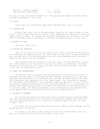| Motions to Revive Judgment | 51.00          |
|----------------------------|----------------|
| Service Fees (additional)  | \$ As required |

No case will be considered "Filed" until the appropriate deposit has been made in a manner acceptable to the Clerk.

## 5.2 COSTS

Costs shall be assessed per applicable Supreme Court rule or statute.

## 5.3 WITNESS FEE

 Witness fees shall not be allowed unless claim for the same is made to the Clerk. The attorney causing any witness to be subpoenaed is requested to see that proper claim is made. No witness who has been subpoenaed and is present in court shall be excused without permission of counsel for opposing party or the court.

#### 5.4 WAIVER OF FEES

(No local court rule)

## 5.5 MOTION FOR SECURITY

 Upon the filing of a motion for security for costs, verified by the party or his attorney, the opposing party, not later than one day prior to hearing thereon, may file and serve a counter-affidavit, and the issue presented shall be determined by the court from the evidence.

 Upon opposing party's failure to file and serve a counter-affidavit, within the time aforesaid, the verified motion shall be taken as confessed. An unverified motion for security for costs, and one to which counter-affidavit has been filed, must be sustained by proof.

## 5.6 FEES FOR INTERPRETERS

 Interpreters and translators may be appointed by the various divisions, to interpret the testimony of witnesses (either language interpretation or hearing impaired interpretation) or to translate any writing, as authorized by law. When the interpreter has completed his or her appointment, the interpreter's request for fees shall be forwarded to the presiding judge for approval. In cases involving hearing impaired interpretation, the fees and expenses of the interpreter are payable from funds appropriated to the Office of the State Courts Administrator. In criminal cases, all fees and expenses of all interpreters, are payable from funds appropriated to the Office of the State Courts Administrator.

#### 5.7 METHODS OF PAYMENT

 All filing fees and costs associated with an electronically filed document shall be paid electronically in the method authorized by Supreme Court Rule 103 and Court Operating Rule 27 (i.e. electronic transfer, debit account, or credit/debit card).

 All fines and costs being paid electronically, shall be paid through the Pay by Web feature on case.net.

 All other filing fees, fines, fees, and costs not listed above, shall be paid in the manner authorized by the judge of that court.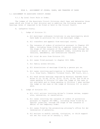RULE 6. ASSIGNMENT OF JUDGES, CASES, AND TRANSFER OF CASES

6.1 ASSIGNMENT TO ASSOCIATE CIRCUIT JUDGES

6.1.1 By Local Court Rule or Order.

The judges of the Associate Circuit Divisions shall hear and determine those cases which are filed in that division and in addition the following cases and hearings (even if required to be filed or held in the Circuit Court):

- A. Lafayette County.
	- 1. Judge of Division II.
		- a. All municipal ordinance violations in any municipality which have made no provision for its own municipal judge.
		- b. All transfers and appeals from municipal courts.
		- c. The issuance of orders of protection pursuant to Chapter 455 RSMo., including those filed by or against juveniles, from the stage of the issuance of the temporary order through the issuance or denial of the permanent order, including any extensions, amendments, and terminations thereof.
		- d. All trial de novo from Division III.
		- e. All cases filed pursuant to chapter §211 RSMo.
		- f. All family access motions.
		- g. All dissolutions of marriage filed by a person pro se.
		- h. All cases involving participation in Problem Solving Courts (i.e. Drug Court, Domestic Violence Court, DWI Court, etc.).
		- e. All bond review hearings required by Missouri Supreme Court Rules 21.10, 22.08, 29.18, 33.01, 33.05, 33.06, and 33.08 on cases pending in Division III when the judge on the case is not available and on those pending in Division I when neither the judge on the case or the judge of Division III is avail able.
	- 2. Judge of Division III.
		- a. All civil actions involving driver's license review, suspen sion, revocation, or cancellation.
		- b. All cases involving the issuance of orders of protection pursuant to Chapter 455 RSMo., including those filed by or against juveniles, through the stage of the issuance or denial of the temporary order.
		- c. All cases filed by the prosecuting attorney's office for de termination of paternity.
		- d. All motions to modify custody, visitation, or child support not set for trial as of January 1, 2018.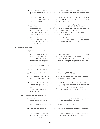- e. All cases filed by the prosecuting attorney's office involving an action to establish child support or for contempt for failure to pay child support.
- f. All criminal cases in which the only felony charge(s) is/are for criminal nonsupport unless probable cause was determined by that judge after a preliminary hearing.
- g. All criminal cases where the most serious felony for plea is an E or D felony and the parties agree to enter a disposition pursuant to a plea agreement on the date of waiver of preliminary hearing. The assignment under this paragraph is for the day only and all subsequent proceedings in the case will take place in front of the circuit judge.
- h. All bond review hearings required by Supreme Court Rules 21.10, 22.08, 29.18, 33.01, 33.05, 33.06, and 33.08 on cases pending in Division I when the judge on the case is unavailable.

#### B. Saline County.

- 1. Judge of Division V.
	- a. The issuance of orders of protection pursuant to Chapter 455 RSMo., including those filed by or against juveniles, from the stage of the issuance of the temporary order through the issuance or denial of the permanent order, including any ex tensions, amendments, and terminations thereof.
	- b. All family access motions.
	- c. All trial de novo from Division VI.
	- d. All cases filed pursuant to chapter §211 RSMo.
	- e. All cases involving participation in Problem Solving Courts (i.e. Drug Court, Domestic Violence Court, DWI Court, etc.).
	- f. All bond review hearings required by Missouri Supreme Court Rules 21.10, 22.08, 29.18, 33.01, 33.05, 33.06, and 33.08 on cases pending in Division VI when the judge on the case is not available and on those pending in Division IV when neither the judge on the case or the judge of Division VI is available.
- 2. Judge of Division VI.
	- a. All municipal ordinance violations in any municipality which have made no provision for its own municipal judge.
	- b. All transfers and appeals from municipal courts.
	- c. All civil actions involving driver's license review, suspen sion, revocation, or cancellation.
	- d. All cases filed by the prosecuting attorney's office involv ing an action to establish child support or for contempt for failure to pay child support.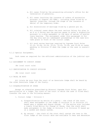- e. All cases filed by the prosecuting attorney's office for de termination of paternity.
- f. All cases involving the issuance of orders of protection pursuant to Chapter 455 RSMo., including those filed by or against juveniles, through the stage of the issuance or denial of the temporary order.
- g. All dissolutions of marriage filed by a person pro se.
- h. All criminal cases where the most serious felony for plea is an E or D felony and the parties agree to enter a disposition pursuant to a plea agreement on the date of waiver of preliminary hearing. The assignment under this paragraph is for the day only and all subsequent proceedings in the case will take place in front of the circuit judge.
- i. All bond review hearings required by Supreme Court Rules 21.10, 22.08, 29.18, 33.01, 33.05, 33.06, and 33.08 on cases pending in Division IV when the judge on the case is unavailable.

6.1.2 Special Assignment.

 Such cases as required for the efficient administration of the judicial system.

6.2 ASSIGNMENT TO CIRCUIT JUDGES

(No local court rule)

6.3 CERTIFICATION TO CIRCUIT DIVISION

(No local court rule)

6.4 TRIAL DE NOVO

 All trials de novo from the court of an Associate Judge shall be heard by the other Associate Judge of the County.

# 6.5 DISQUALIFICATION OF JUDGE

 Except as otherwise prescribed by Missouri Supreme Court Rules, upon disqualification of a Judge, the clerk of the court in which the case is filed shall transfer the case in the following manner:

1. Circuit Judge – Division I

- a. Disqualification by motion of a party the clerk of the court shall make assignment to the Judge in Division II or Division III based upon a random and chance system. If the motion also includes a timely filed Motion for Change of Venue, then the clerk shall make assignment to the Judge in Division V or Division VI based upon a random and chance system.
- b. By recusal the clerk of the court shall assign the case to the first Judge of the circuit able and available to hear and determine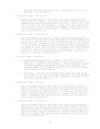the case using the order as follows – Division III, Division II, Division V, and Division VI.

2. Associate Judge – Division II

Upon any disqualification, the clerk of the court shall assign the case to the first Judge of the circuit able and available to hear and determine the case by using the order as follows: Division III, Division V, Division VI, and Division I. In the event the disqualification includes a timely filed Motion for Change of Venue, then the order of assignment shall be as follows: Division V, Division VI, Division III, and Division IV.

3. Associate Judge – Division III

With the exception of motions to modify, upon any disqualification, the clerk of the court shall assign the case to the first Judge of the circuit able and available to hear and determine the case by using the order as follows: Division II, Division VI, Division V, and Division I. In the event the disqualification includes a timely filed Motion for Change of Venue, then the order of assignment shall be as follows: Division VI, Division V, Division II, and Division IV. On motions to modify, the order of assignments shall be as follows: Division II, Division I, Division V, and Division VI.

- 4. Circuit Judge Division IV
	- a. Disqualification by motion of a party the clerk of the court shall make assignment to the Judge in Division V or Division VI based upon a random and chance system. If the motion also includes a timely filed Motion for Change of Venue, then the clerk shall make assignment to the Judge in Division II or Division III based upon a random and chance system.
	- b. By recusal the clerk of the court shall assign the case to the first Judge of the circuit able and available to hear and determine the case using the order as follows – Division V, Division VI, Division III, and Division II.
- 5. Associate Judge Division V

Upon any disqualification, the clerk of the court shall assign the case to the first Judge of the circuit able and available to hear and determine the case by using the order as follows: Division VI, Division II, Division III, and Division IV. In the event the disqualification includes a timely filed Motion for Change of Venue, then the order of assignment shall be as follows: Division II, Division III, Division VI, and Division I.

6. Associate Judge – Division VI

Upon any disqualification, the clerk of the court shall assign the case to the first Judge of the circuit able and available to hear and determine the case by using the order as follows: Division V, Division III, Division II, and Division IV. In the event the disqualification includes a timely filed Motion for Change of Venue, then the order of assignment shall be as follows: Division III, Division II, Division V, and Division I.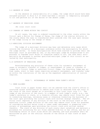#### 6.6 ABSENCE OF JUDGE

 In the absence or unavailability of a judge, the judge which would have been assigned pursuant to Rule 6.5 if there had been a recusal is temporarily assigned to sit and perform all of the duties of the absent judge.

## 6.7 ABSENCE OF PRESIDING JUDGE

(No local court rule)

## 6.8 CHANGES OF VENUE WITHIN THE CIRCUIT

 On all cases, the case is ordered transferred to the other county within the Circuit upon a Motion for Change of Venue, the Judge of the similar division in the county where the case is transferred shall preside over the case upon recusal of the Judge ruling on the change of venue.

#### 6.9 MUNICIPAL DIVISION ASSIGNMENT

 The judge of a municipal division may hear and determine only cases which involve the violation of a municipal ordinance within the municipality for which the judge serves. In those municipalities which have elected to provide their own municipal court as provided by law, if any municipal judge be disqualified to act pursuant to Supreme Court Rules or otherwise unable to act, the case shall automatically be assigned to another qualified municipal judge of this circuit as selected by that municipality.

## 6.10 AUTHORITY OF PRESIDING JUDGE

Notwithstanding any provision of these rules for automatic assignment of cases or automatic transfer of judges, or reassignment of cases or transfer of judges by a Circuit Judge or associate Circuit Judge, the Presiding Judge may assign cases, elect to hear cases requiring automatic assignment, and transfer judges within the limitations of the law as the expedient administration of justice requires.

## RULE 7. WITHDRAWALS OF PAPERS FROM CLERK'S OFFICE

# 7.1 WHEN ALLOWED

 Court files in paper format shall not be removed from the clerk's office or courtroom unless authorization to remove such files is obtained from the court or the clerk of the court except as is provided in this local court rule 7.1. The judge of any division of the court, or a member of such judge's staff, e.g., the judge's secretary or clerk, or a juvenile officer, may remove court files for use in conducting hearings, reviewing cases or otherwise conducting the business of the court upon providing the circuit clerk with written receipt therefor. The official court reporter of any division of the court or the division clerk of the associate circuit judge division of the court may remove court files for purposes of considering matters being tried or taken under advisement or preparing transcripts of proceedings upon providing the circuit clerk with written receipt therefor. The clerk of any division of each county shall establish and maintain a procedure for accounting for all files removed from his or her office, and for acknowledging return of court files which are removed, and such procedure shall be maintained as part of the official records of the Office of that Clerk of each county.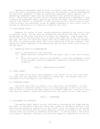Sentencing assessment reports filed in criminal cases shall be available only to the Court, the prosecuting attorney, and the attorney of record representing the particular defendant to whom the sentencing assessment report applies. No sentencing assessment report may be photocopied without authorization by the Court. The prosecuting attorney and any attorney representing a defendant to whom a sentencing assessment report applies may review the report and make notes therefrom at such time as is convenient to that attorney and the circuit clerk at such location within the courthouse as may be deemed acceptable to the circuit clerk on the day of sentencing or as otherwise allowed by the Court.

# 7.2 DUPLICATING POLICY

 Requests for copies of court records should be directed to the circuit clerk or division clerk. Parties shall be charged the rate which from time to time is established by the clerk from which the copies are requested. Copy charges for the Circuit Court and Associate Court of each county shall be at the rate of 25¢ per page. The cost for certified copies shall be an additional \$2.50 per document. The cost for authenticated copies shall be an additional \$5.00 per document. The charge for copies requested to be scanned and sent by email shall be at a rate of 50¢ per page.

## 7.3 REDACTION PRIOR TO DISSEMINATION

Prior to dissemination, the clerk may:

- (1) Redact personal information from the public copy of the court records, or
- (2) Raise the security level of the document in the case management system if the document cannot be adequately redacted to protect personal in formation.

#### RULE 8. PUBLICATION OF DOCKETS

## 8.1 TRIAL DOCKET

 The clerk of the Court shall prepare a trial docket of all civil and criminal cases that are scheduled to be heard on a given day. The dockets shall be available to all attorneys in the Courtroom.

#### 8.2 DISMISSAL DOCKET

The clerk shall each six months, on or about May 1 and November 1 of each year, prepare a dismissal docket of all civil cases pending in the circuit division in which no activity has been noted on the docket sheet for a period of sixty (60) days for domestic cases and a period of six (6) months for all other cases.

#### RULE 9. COURTROOMS

#### 9.1 ASSIGNMENT OF COURTROOM

The parties shall report to such courtroom as directed by the Judge hearing the case. In Lafayette County the courts are located in Lexington, Missouri, and the courtroom generally referred to as the Circuit Court is located on the second floor of the courthouse and the courts generally used by the Probate Court and Associate Court are located in Lafayette County Hall. In Saline County, the courts are located in Marshall, Missouri, and the court generally referred to as the Cir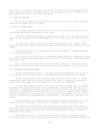cuit Court is located on the east side of the 3<sup>rd</sup> floor of the courthouse and the court generally used by the Probate Court and Associate Court is located on the west side of the 3rd floor of the courthouse.

#### 9.2 PLACE OF HEARING

The place of hearing will be in the courtroom or such other place as designated by the Judge hearing the case.

# 9.3 USE OF COUNSEL TABLE

 (a) Counsel tables are reserved for the use of counsel and parties to the case being immediately presented to the court.

 (b) While examining witnesses, counsel shall stand or sit as near as practicable to the witness; and when addressing the court shall stand at the counsel table.

(c) Objections shall ordinarily be made by standing at the counsel table. Attorneys shall not come to the bench to make objections without permission of the Judge.

 (d) Attorneys shall not lean upon the bench nor appear to engage the Judge in a confidential manner.

 (e) In the Circuit Courtroom of Lafayette County, Missouri, the party having the burden of proof shall have the use of the side of the counsel table which faces the jury box.

 (f) In the Circuit Courtroom of Saline County, Missouri, the party having the burden of proof shall have use of the counsel table nearest to the jury box.

#### 9.4 COURTROOM DECORUM AND DRESS

 (a) All matters pertaining to the court and its business must be carried on in an audible tone of voice and at a reasonable distance from the court bench.

(b) Neither attorneys nor litigants shall be permitted to stand or lounge unreasonably near the court's bench, desk of the clerk or reporter, unless the court calls both sides of a controversy to the bench for conference.

(c) Attorneys appearing before the court and their clients shall be dressed in appropriate attire consistent with professional standards and the dignity of the court. Inappropriate attire may result in a party or an attorney not being permitted to proceed before the court until corrections in conduct and/or appearance by the party or the attorney is corrected to the reasonable satisfaction of the court before which an appearance is being made. The same rule applies to witnesses.

(d) The sheriff or his deputy and the clerk or deputy clerk shall be in the courtroom at all times when the court is in session, unless excused by court.

 (e) The bailiff (if excused, the clerk) shall formally open each session of the court, shall enforce the rule against smoking while court is in session, and shall quietly and politely abate any noise or display which detracts from the business of the court.

 (f) Counsel should not hold conferences with clients or witnesses in the courtroom while the court is hearing other matters if such conferences disturb the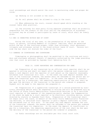court proceedings and should assist the court in maintaining order and proper decorum.

(g) Smoking is not allowed in the court.

(h) No cell phones shall be allowed to ring in the court.

(i) When addressing the court, counsel should speak while standing at the counsel table when practical.

 (j) One attorney for each party filing separate pleadings shall be primarily responsible for the conduct of the trial and for the examination of witnesses. Co-counsel may be allowed to participate by leave of court, which shall be freely given.

9.5 WHO IS PERMITTED WITHIN BAR OF COURT

 During the trial of any case, or the presentation of any matter to the Court, no person, including members of litigants' families, shall be permitted within the bar of the courtroom proper, other than attorneys, court personnel, litigants and witnesses called to the stand without leave of court. Persons outside the bar shall not disturb the order of the Court.

## 9.6 CAMERAS IN COURTHOUSES AND COURTROOMS

 Videotaping or photographing shall be permitted in the courtroom and corridors and stairways adjacent thereto if expressly authorized by the judge presiding over that court as provided by Supreme Court Operating Rule 16.

# RULE 10. COURT REPORTERS AND COMPENSATION FOR SAME

 (a) Preparation of any transcript by an official court reporter shall be requested in writing and shall not begin until the person ordering such transcript makes a cash deposit with the reporter of such amount as the reporter reasonably estimates such transcript will cost. In the event any cash deposit exceeds the cost of the transcript ordered, the excess shall be refunded to the person who ordered the transcript upon its completion. In the event the deposit is insufficient to pay for a transcript, the remaining unpaid portion of the cost shall be due upon the delivery of the transcript to the person who ordered it prepared. Payment will be made to the reporter who prepared it.

 (b) Preparations of a typewritten transcript of a record preserved by electronic recording device shall be requested in writing and will be prepared only by the Office of State Courts Administrator Transcribing Services or by a certified court reporter at the expense of the requesting party, whether the commemoration of the event be made by a court reporter or by electronic recording device, unless directed by statute or Supreme Court Rule. Preparation of the transcript shall not begin until the clerk, on behalf of the State Courts Administrator Transcribing Services, or certified court reporter is paid a deposit sufficient to cover the estimated cost of this work. In the event any cash deposit exceeds the cost of the transcript ordered, the excess shall be refunded to the person who ordered the transcript upon its completion. In the event the deposit is insufficient to pay for a transcript, the remaining unpaid portion of the cost shall be due upon the delivery of the transcript to the person who ordered it prepared.

(c) Audio recordings are not available per this local court rule.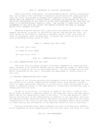#### RULE 11. RECORDING OF JUDICIAL PROCEEDINGS

 Audio recording, videotaping, and photographing during judicial proceedings shall be allowed in the courtroom if expressly authorized by the judge presiding over that court as provided by Supreme Court Operating Rule 16. ABSOLUTELY NO PERSON SHALL BE PERMITTED TO AUDIO RECORD, VIDEOTAPE, OR PHOTOGRAPH ANY PART OF THE ACTUAL PROCEEDINGS OF THE COURT OR OF ANY COURT PERSONNEL AT ANY TIME THAT THE COURT IS IN SESSION WITHOUT LEAVE OF COURT. THE FAILURE TO COMPLY WITH THE RE-QUIREMENTS OF THIS RULE MAY SUBJECT THE PERSON VIOLATING THE SAME TO CRIMINAL AND/OR CIVIL CONTEMPT OF COURT.

Whenever a person desires that a particular proceeding be recorded, he may request the matter to be put on the Official Record, and may pay the cost. No other method of recording or creating a secondary record, other than notes of those in attendance, shall be permitted. No person may record any portion of court proceedings without leave of court.

#### RULE 12. MONIES PAID INTO COURT

(No local court rule)

12.1 BOND IN CIVIL CASES

(No local court rule)

## RULE 13. COMMUNICATIONS WITH COURT

#### 13.1 ORAL COMMUNICATIONS WITH THE COURT

 The court will not permit private interviews, arguments or communications where interests to be affected thereby are not represented, except in cases where provision is made by law for ex parte application. Any such attempt will be summarily terminated by the court. Attorneys are admonished to inform clients of this rule.

#### 13.2 WRITTEN COMMUNICATIONS WITH COURT

 Copies of all written materials and documents filed in any pending case file and copies of all written communications between one or more parties, counsel, Clerk or Judge, hereinafter referred to as "the Court", shall be provided by the sender to opposing counsel in the same method of transmission and delivery used to communicate with the Court.

 By way of illustration, if a Motion is faxed to the Court, a copy of this Motion shall be faxed to opposing counsel on the same date and at the same approximate time as the communication made to the Court. If the same method of transmission and delivery of the communication in question is not available, the Court and opposing counsel should be clearly advised by the party submitting the faster communication to the Court of that fact and every reasonable effort shall be made to timely deliver the information to the opposing counsel as soon as practical.

 Nothing contained herein shall undermine any Rule of Professional Responsibility regarding ex parte communications with the Court about the facts of a case.

## RULE 20. CASE MANAGEMENT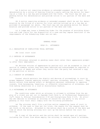(a) A motion not requiring evidence or extended argument shall be set for determination by a notice of hearing filed by a party setting the motion for hearing at a time on a law day pre-arranged with the Clerk. The Court may set any pending motion for determination and provide notice to all parties of the date and time.

 (b) A motion requiring evidence or extended argument shall be set for determination by the filing of a motion for trial setting noticed up on a law day as provided in paragraph (a) above. The Court may set any pending motion for determination and provide notice to all parties of the date and time.

 (c) A judge may issue a Scheduling Order for the purpose of providing direction and time limits for the disposition of a case and may impose sanctions if the requirements of the Scheduling Order are not met.

#### GENERAL RULES

## RULE 21. ATTORNEYS

## 21.1 RESOLUTION OF CONFLICTING TRIAL SETTINGS

(No local court rule)

# 21.2 ENTRIES OF APPEARANCE

 (a) Attorneys retained in pending cases shall enter their appearance promptly after their employment.

 (b) Written entries of appearance by parties will not be accepted in lieu of service of summons unless they have been executed and acknowledged as required in the execution of deeds and unless they recite that the party has received a copy of the petition or motion.

#### 21.3 CONDUCT OF ATTORNEYS

 Counsel should maintain the dignity and decorum of proceedings in court by proper demeanor towards opposing counsel, parties, witnesses, and the court. They should refrain from making unfair or derogatory personal references to opposing counsel, from haranguing, vexatious, or offensive interrogation of witnesses, and from making objections in a loud or discourteous fashion.

## 21.4 WITHDRAWAL OF ATTORNEYS

 The conditions under which an attorney is allowed to withdraw from the employ of a client are set out in Supreme Court Rule 4, of Professional Responsibility") Canon 2, Ethical Consideration 2-32 and Disciplinary Rule 2-110. An attorney who desires to withdraw as attorney of record for any party to any action pending in this Court shall comply with the following procedures:

 (a) The attorney shall file a written motion requesting leave of court to withdraw. If the case is then set for trial, the reason for the request must be set forth in the motion. Attached to the motion shall be a notice of the date and time at which the moving attorney will call up the motion before the court for hearing.

 (b) A copy of the motion and the notice shall be served upon all parties, including the client from whose employ the attorney is seeking leave to withdraw,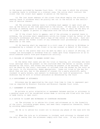in the manner provided by Supreme Court Rule. If the case in which the attorney is seeking leave to withdraw is a criminal case, the notice shall instruct the client that the client must appear in person at the hearing.

(c) The last known address of the client from whose employ the attorney is seeking leave to withdraw shall be plainly set out in the motion or the certificate of service thereon.

 (d) The attorney seeking leave to withdraw must appear in open court and call up the motion at the time specified in the notice. If the case in which the attorney is seeking leave to withdraw is a criminal case, it shall be the duty of the client to appear in person in compliance with the notice mentioned above.

 (e) If the client fails to appear, and if the attorney is granted leave to withdraw, the attorney shall immediately notify his former client by letter of the attorney's withdrawal and shall send a copy of the letter to the clerk. Such letter shall advise the former client of any scheduled court proceedings or pleading deadlines in the case.

(f) No hearing shall be required in a civil case if a Motion to Withdraw is accompanied by a consent of the client or by new counsel on behalf of the client.

(g) Due to the alerts that will be sent by email as a result of eFiling, attorneys are encouraged to withdraw from all cases upon final disposition so as to avoid unwanted alerts from post-disposition activity.

# 21.5 FAILURE OF ATTORNEY TO ANSWER DOCKET CALL

 On the dates that cases are set for trial or hearing, all attorneys who have trial settings shall be present in the courtroom when the matter is called, unless excused by the court, and unless the attorney be present or be excused, the case will be heard by the court, continued, or stricken from the docket by the court as the court, in its discretion, deems appropriate. Cases not tried on the day for which they are set, due to the absence of counsel for a party plaintiff, party claimant or party movant, are subject to dismissal for lack of prosecution. Said dismissal may be with or without prejudice as determined by the Court

#### 21.6 APPOINTMENT OF ATTORNEYS

Attorneys may be appointed by the court from time to time to represent parties as required by Missouri Statutes and Missouri Supreme Court rules.

## 21.7 AGREEMENT OF ATTORNEYS

 No private or prior stipulation or agreement between parties or attorneys in a pending cause will be recognized unless made in writing and filed with the clerk or made orally in open court.

#### 21.8 ADVICE TO CLIENT AND WITNESSES OF COURTROOM PROCEDURE

 (a) The attorney is to advise his client and witnesses as to the formality of the court, including proper dress, and seek their cooperation therewith, thereby avoiding embarrassment.

 (b) He is to advise his client not to discuss any phase of the case with the court.

 (c) When the rule as to witnesses is invoked, each attorney is charged with the duty of seeing that the witnesses comply with that rule. If any witness vio-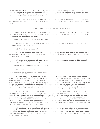lates the rule, whether willfully or otherwise, such witness shall not be permitted to testify, except by consent of opposing counsel or unless the court in its own discretion, rules that justice requires such testimony be received, under all the circumstances to be considered.

(d) All attorneys are to advise their clients and witnesses not to discuss any matter related to a trial in process with any juror or in the presence of any juror.

# RULE 22. APPOINTMENT OF GUARDIAN AD LITEM

 Guardians ad litem will be appointed in civil cases for unknown or incompetent parties, members of the Armed Forces in default, minors, and those confined to prison as required by law.

22.1 WHEN GUARDIAN AD LITEM MAY BE APPOINTED

 The appointment of a Guardian ad Litem may, in the discretion of the Court without hearing, be made:

(a) Upon the request of any party;

 (b) In an action for declaration of paternity where the child is named as a defendant, or if the Court determines that the interests of the child and his Next Friend are in conflict; or

 (c) Upon the request of the parties in all proceedings where child custody, child support or visitation rights are contested issues.

#### 22.2 GUARDIAN AD LITEM--DISQUALIFICATION

(No local court rule)

# 22.3 PAYMENT OF GUARDIAN AD LITEM FEES

 (a) Security. Payment of Guardian ad Litem fees shall be made upon court order from the security deposited with the Court by the Parties. Payment shall be made at the conclusion of the case or at intervals which the Court deems appropriate. Additional security may be ordered by the Court to cover additional Guardian ad Litem fees. Sufficient security for Guardian ad Litem fees may be ordered without hearing. Nonpayment of security for Guardian-ad-Litem fees by a party, at the discretion of the court, may result in his or her pleading being stricken.

 (b) No Security. In the event that security has not been posted for the payment of Guardian ad Litem fees, such fees may be awarded as a judgment to be paid by any party to the proceeding, or may be taxed as costs to be paid by the party against whom costs are taxed, or from public funds. Prior to assessing Guardian ad Litem fees to public funds notice shall be given pursuant to Local Rule 22.3(c), unless the governmental entity concerned has filed a memorandum with the Court stating that it does not intend to intervene and contest the reasonableness of the Guardian ad Litem fees.

 (c) Notice. The Guardian ad Litem shall file a notice with the government entity having custody of public funds when he intends to request the Court to tax his fees as costs against public funds. The notice shall be filed with the Court and the government entity, in writing, at least thirty (30) days prior to the trial or date of hearing.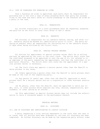#### 22.4 COPY OF PLEADINGS FOR GUARDIAN AD LITEM

Once a Guardian ad Litem is appointed, each party shall be responsible for providing him or her with a copy of every pleading which that party has already filed in the case and shall serve all future pleadings on the Guardian ad Litem as a party in the case.

## RULE 23. TRANSCRIPTS

All written transcripts of a court proceeding shall be requested, prepared, and paid for as set forth in Local Court Rules 10 and 11 above.

# RULE 24. EXHIBITS

 The attorney is responsible for all exhibits before, during, and after trial. Exhibits should be marked for identification prior to trial. The party entering an exhibit shall be responsible for retrieving his or her exhibits within 15 days after being notified by the Circuit Court.

## RULE 28. SPECIAL PROCESS SERVERS

 All motions for appointment of special process server shall be in writing and must be approved by the court or the court clerk. The motion shall state that the individual proposed to be appointed is over the age of 21, not related to or an employee of the party requesting the appointment, and that the individual is of good moral character. The motion shall also state why the appointment of a special process server is necessary.

 (a) The Court Clerk may appoint a natural person other than the Sheriff to serve process in any cause.

 (b) Orders appointing a person other than the Sheriff to serve process shall be made at the risk of the requesting party.

 (c) Any person of lawful age, other than the Sheriff, appointed to serve process shall be a natural person and not a corporation or other business association.

 (d) No person, other than the Sheriff, shall be appointed to serve any order, writ, or other process which requires any levy, seizure, sequestration, garnishment, or other taking by an officer.

 (e) This appointment as Special Process Server does not include the authorization to carry a concealed weapon in the performance thereof.

## PRETRIAL MATTERS

#### RULE 32. DISCOVERY

## 32.1 USE OF DISCOVERY AND CERTIFICATION TO CIRCUIT DIVISION

 A party requesting a trial setting represents to the court that the case is at issue, that all motions have been disposed of, and that all discovery has been completed. No further discovery can be made by the requesting party without order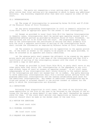of the court. The party not requesting a trial setting shall have ten (10) days after notice that trial setting will be requested in which to begin any additional discovery. Any discovery requested after that date will require an order of the court.

## 32.2 INTERROGATORIES

 (a) The scope of interrogatories is governed by Rules 56.01(b) and 57.01(b) of the Missouri Rules of Civil Procedure.

 (b) Any party propounding interrogatories in civil or domestic relations actions shall leave an appropriate space for the answer to each interrogatory.

 (c) Except as provided in Local Court Rule 68.4 for Opening Interrogatories in domestic cases, interrogatories shall be served upon opposing counsel and unrepresented adverse parties as provided by Missouri Rules of Civil Procedure. Interrogatories are not to be filed with the court. The propounding party shall show on the interrogatories the certificate of mailing and shall promptly file with the court a separate certificate of mailing of the interrogatories which shall include the information as required by Missouri Rules of Civil Procedure.

 (d) The answers to interrogatories will be typewritten in the spaces provided. In the event an answer is too lengthy to be placed in the space provided, it shall be attached as an appendix and clearly identified.

 (e) The adverse party shall prepare the affidavit to be signed by the appropriate party and attach it as a last page of the interrogatories and then file a certificate of mailing of the interrogatory answers with the clerk of the court, and serve a copy on each party.

 (f) Except as provided in Local Court Rule 68.4, no party shall serve on any other party more than thirty (30) interrogatories in the aggregate in any civil case without leave of court or consent of opposing counsel. In all civil cases subparagraphs of any interrogatories shall relate directly to the subject matter of the interrogatory and shall not exceed four (4) in number. Any party desiring to serve additional interrogatories shall file a written motion setting forth the proposed additional interrogatories and the reasons establishing good cause for the additional interrogatories. Any number of additional interrogatories may be filed and served if attached thereto is the written consent of counsel for the party to which the interrogatories are directed.

## 32.3 DEPOSITIONS

 Following final disposition in civil cases, the clerk of any division may cause depositions in the file of the case to be returned to the custody of the attorney for the party on whose behalf it was taken, who shall thereafter be responsible for them. If the clerk shall deliver over depositions as herein provided, notation thereof shall be made on the docket sheet of the case file.

#### 32.4 MOTION FOR SANCTIONS

(No local court rule)

## 32.5 CRIMINAL DISCOVERY

(No local court rule)

# 32.6 REQUEST FOR ADMISSIONS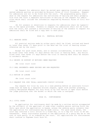(a) Request for admission shall be served upon opposing counsel and unrepresented adverse parties as provided by Missouri Rules of Civil Procedure. Request for admissions are not to be filed with the court. The propounding party shall show on the request for admissions the certificate of mailing and shall promptly file with the court a separate certificate of mailing of the request for admissions which shall include the information required by Missouri Rules of Civil Procedure.

 (b) All answers or objections to requests for admissions shall be typewritten in the space provided. Answers to request for admissions shall not be filed with the court, but instead a certificate of mailing of the answers to request for admissions shall be filed and a copy sent to each party.

RULE 33. PRETRIAL MOTIONS

33.1 HEARING DATES

 All pretrial motions made by either party shall be filed, noticed and heard no later than seven (7) days prior to the date set for trial or hearing unless otherwise set by the court.

 Except for good cause shown, and in unusual circumstances, no motion shall be filed later than seven (7) days before the trial or hearing date. Any motion filed later than seven (7) days before the trial or hearing date shall be subject to automatic denial.

33.2 BRIEFS IN SUPPORT OF MOTIONS--WHEN REQUIRED

(No local court rule)

33.3 ORAL ARGUMENTS--WHEN DESIRED AND HOW REQUESTED

(No local court rule)

33.4 MOTION IN LIMINE

(No local court rule)

33.5 REQUEST FOR JURY TRIAL--ASSOCIATE CIRCUIT DIVISION

 Any request for trial by jury in a case pending before an associate Circuit Judge must be made by a separate written request, apart from another pleading, clearly designated Request for Jury Trial or by oral motion in open court before the judge presiding over the docket to which the case is assigned.

## RULE 34. CONTINUANCES

#### 34.1 CIVIL CASES

 An application for continuance shall be made by a written motion accompanied by the affidavit of the applicant of some other credible person setting forth the facts upon which the application is based, unless the adverse party consents that the application for continuance may be made orally. For good cause shown, the court may continue a civil action to a fixed day, or to a day for trial to be set thereafter. Every continuance granted on the application of a party may be at the cost of such party, if so ordered by the court. All applications for continuances shall conform to Supreme Court Rule 65.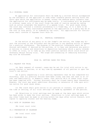## 34.2 CRIMINAL CASES

 An application for continuance shall be made by a written motion accompanied by the affidavit of the applicant or some other credible person setting forth the facts upon which the application is based, unless the adverse party consents that the application for continuance may be made orally. A continuance will be granted in criminal cases only if the court finds the ends of justice served by taking such an action outweighs the benefits of a speedy trial. For good cause shown, the court may continue a criminal proceeding to a fixed day, or to a date to be set thereafter. Every continuance granted on the application of a party may be at the cost of such party, if so ordered by the court. All applications for continuances shall conform to Supreme Court Rule 24.

## RULE 35. PRETRIAL CONFERENCES

On the motion of any party or on the Judge's own motion, the Judge may direct the attorney or the attorneys and the parties in any pending action to appear for a pretrial conference. The purpose of the pretrial conference shall be to discuss settlement if desired by the parties, or to hear and determine any pretrial motions in limine and objections to deposition testimony which a party intends to offer at trial, or to take up any other pretrial matters which could avoid unnecessary delays during trial. The scope and scheduling of remaining discovery may also be discussed.

# RULE 36. SETTING CASES FOR TRIAL

36.1 REQUEST FOR TRIAL

 (a) Upon request of counsel, cases may be set for trial with notice to opposing counsel or parties, or at any time by agreement of all parties or upon the court's own motion.

 (b) A party requesting a trial setting represents that he has completed his discovery, that all pretrial motions have been ruled, and that the case is at issue; and additionally, in domestic cases, that section 68.6 of these local rules has been complied with. Further discovery shall be closed twenty days thereafter. However, the court may grant additional discovery or extension of time upon written motion for good cause shown.

 (c) The clerk shall give notice to all parties or counsel, not present at the time of setting, of all trial settings not made by agreement of the parties.

 (d) Objections to trial settings must be made at the date upon which notice has been given to make the trial setting. Objections to trial settings made at any other times must be made in writing within ten days after notice thereof, with copies to opposing counsel and the hearing Judge.

36.2 DATE OF CALENDAR CALL

(No local court rule)

36.3 PREPARATION OF CALENDAR

(No local court rule)

36.4 CALENDAR CALL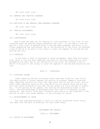(No local court rule)

36.5 REMOVAL AND INACTIVE CALENDAR

(No local court rule)

36.6 REVISION OF AND REMOVAL FROM PREPARED CALENDAR

(No local court rule)

36.7 SPECIAL ASSIGNMENTS

(No local court rule)

36.8 CONTINUANCES

 Once a case has been set for hearing or trial pursuant to this rule, no continuances shall be granted unless ordered by the Court. In the event a continuance of a jury trial is granted after a jury has been summoned, the party or attorney requesting the continuance, may at the discretion of the Court, be assessed a fee of \$50.00 to be paid to the county to cover the expense of calling and cancelling the jury.

36.9 DISMISSAL

 In the event a case is dismissed or nolle prosequed, other than with prejudice, after a jury has been summoned, the party or attorney dismissing or nolle prosequing the case, may at the discretion of the court, be assessed a fee of \$50.00 to be paid to the county to cover the expense of calling and cancelling the jury.

## RULE 37. DISMISSALS

#### 37.1 DISMISSAL DOCKET

Cases requiring service of process which have been filed for over thirty (30) days without a correct address for service of process, domestic relations cases remaining inactive for sixty (60) days which are not set for trial, and all other cases remaining inactive for a period of six (6) months which are not set for trial shall be placed on the next law day docket for trial setting or dismissal. If the parties do not appear, the case may be dismissed by order of the court. Any case dismissed in accordance with this rule is a dismissal without prejudice. The Circuit Clerk shall forthwith give notice of the dismissal to the parties at their last known address, or the attorneys of record.

# 37.2 REINSTATEMENT OF CAUSE

Any case dismissed pursuant to Rule 37.1 may be reinstated within thirty (30) days from the date of dismissal for good cause shown.

#### SETTLEMENT AND DEFAULT

#### RULE 41. SETTLEMENT

# 41.1 NOTICE OF SETTLEMENT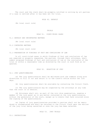The court and the clerk shall be promptly notified in writing by all parties if a case is settled after it has been set for trial.

## RULE 42. DEFAULT

(No local court rule)

#### TRIALS

## RULE 51. COURT-TRIED CASES

51.1 DEFAULT AND UNCONTESTED MATTERS

(No local court rule)

#### 51.2 CONTESTED MATTERS

(No local court rule)

51.3 PREPARATION OF FINDINGS OF FACT AND CONCLUSIONS OF LAW

 In all court-tried cases in which findings of fact and conclusions of law are required or properly requested, the parties, through their attorneys, shall submit proposed findings of fact and conclusions of law at the conclusion of the trial or within a reasonable time as directed by the court in such form as requested.

## RULE 52. SELECTION OF JURY

#### 52.1 JURY QUESTIONNAIRES

 (a) The jury questionnaire shall be delivered with the summons along with directions to fill it out and return it to the clerk's office within ten (10) days.

(b) Jury questionnaires shall be available by contacting the Circuit Clerk.

 (c) The jury questionnaire may be inspected by the attorneys at any time that the court is in session.

 (d) Attorneys shall not, as part of the voir dire examination, examine a member of the jury panel as to any matter contained on the jury questionnaire, without the permission of the court, except as to events that have occurred since the signing of the questionnaire.

 (e) Copies of jury questionnaires provided to parties shall not be reproduced or disseminated and shall be returned to the Circuit Clerk upon the earlier of the jury trial being cancelled or once the jury has been selected.

# RULE 53. JURY TRIALS

53.1 INSTRUCTIONS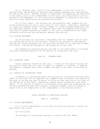53.1.1 Criminal Case. Prior to the commencement of any jury trial of a criminal case, the prosecuting attorney shall prepare proposed jury instructions for use by the Court. Defense counsel is responsible for preparing and submitting to the Court, prior to the commencement of the trial, any instructions to be requested by the defendant; or, any instructions defendant is offering in the alternative to those submitted by the prosecuting attorney.

 53.1.2 Civil Cases. The attorney for the plaintiff shall prepare the following instructions for use in jury trials of civil cases: Cautionary, explanatory, facts not assumed, burden of proof, number of claims, package explanation and all applicable verdict forms. All parties shall have the proposed instructions they wish to submit prepared for tender to the court as requested by the Judge, including instructions and affirmative defense instructions.

# 53.2 CLOSING ARGUMENTS

 (a) An attorney will be given a reasonable time for argument and the court will decide the period of time allowed. Plaintiff may divide his time between opening and closing argument, but not more than one-half of his time may be spent in closing. Time may be extended at the discretion of the court.

 (b) Arguments by multiple parties are made in the order named in the pleading unless otherwise agreed to by the parties or directed by the court.

# RULE 54. JUDGMENT ENTRY

# 54.1 CONTESTED CASES

 Unless otherwise ordered by the court, it shall be the duty of counsel for the party in whose favor an order is made or a judgment is rendered, to prepare the decree or judgment entry and to submit the same to the court in the form requested.

## 54.2 DEFAULT OR UNCONTESTED CASES

 In default or uncontested cases, the attorney for the prevailing party shall submit to the Court for its approval the judgment entry or decree to be entered in the case on the day the case is heard, or within no more than thirty (30) days in the discretion of the Court. Extensions thereof may be granted for good cause shown. In all matters of default or uncontested cases which are presented pro se, the party presenting same shall present a proposed judgment entry or decree in proper form to the Judge prior to the commencement of any hearing thereon.

## RULES RELATING TO PARTICULAR ACTIONS

## RULE 61. ADOPTION

#### 61.1 FILING REQUIREMENTS

 61.1.1 Filing requirements at the time of filing the petition, counsel for petitioners shall file:

- (a) Filing fee;
- (b) Affidavit of Accounting, pursuant to Section 453.075, RSMo.;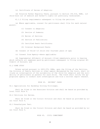(c) Certificate of Decree of Adoption;

 (d) Putative Father Registry Check, pursuant to Section 192.016, RSMo. (if child born out of wedlock and father's rights not previously terminated).

61.1.2 Filing requirements subsequent to filing the petition:

 (a) Where applicable, counsel for petitioners shall file for each natural parent:

- (1) Consent to Adoption;
- (2) Service of Summons;
- (3) Waiver of Service;
- (4) Service of Publication;
- (5) Certified Death Certificate;
- (6) Criminal Background Check;
- (b) Consent of Child--if child over fourteen years of age;
- (c) Consent from Agency--where applicable;

 (d) Supplemental Affidavit of Account--filed immediately prior to hearing which reflects all expenses paid by petitioners subsequent to filing original Affidavit of Account; and

# 61.2 HOME STUDY

 Unless waived pursuant to §453.070, RSMo, upon the filing of the Petition, the Division of Family Services or other agency designated by the Court, shall initiate an investigation of the suitability of the child for adoption and the suitability of petitioners as parents for said child. The Clerk shall notify the appropriate agency to conduct such investigation and file a written report thereof.

#### RULE 62. DRIVERS' CASES

62.1 Applications for Hardship Driving Privileges.

Shall be filed in the Associate Division and shall be heard as provided by Local Court Rule 6.

62.2 Petitions for Review.

Shall be filed in the Circuit Division and shall be heard as provided by Local Court Rule 6.

62.3 Breathalyzer Test.

Shall be filed in the Circuit Division and shall be heard as provided by Local Court Rule 6.

# RULE 65. CIVIL COMMITMENT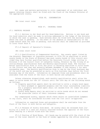All cases and matters pertaining to civil commitment of an individual and papers relating thereto shall be filed with the Clerk of the Probate Division of the appropriate county.

RULE 66. CONDEMNATION

(No local court rule)

# RULE 67. CRIMINAL CASES

## 67.1 PRETRIAL RELEASE

 67.1.1 Motions to Set Bond and for Bond Reduction. Motions to set bond and for bond reduction shall be made in writing addressed to the judge of the division in which the case is pending. Such motions shall be filed with the division clerk where the case is pending. In the event of the absence or unavailability of the judge before whom the case is pending, such motions shall be submitted as provided in Local Court Rule 6.

67.1.2 Deposit of Operator's License.

(No local court rule)

67.1.3 Qualification of Compensated Sureties. Any surety agent listed by the Missouri Department of Insurance pursuant to §374.763 as qualified to write surety bonds in the State of Missouri may post surety bonds in this circuit provided they have further qualified before the Associate Circuit Judge sitting in Division 3 of the Circuit Court of Lafayette County, Missouri by the filing of an Initial/Annual Qualification Form and Monthly Qualification Form. The Initial/ Annual Qualification Form is first due prior to becoming qualified to write bonds in the circuit and then due annually between December 15 and January 2 for each succeeding year. The Monthly Qualification Form is due by the first business day of the month and may be presented as early as five business days before the first business day of the month. Information on required forms and procedures shall be available from the Clerk of the Court in both Saline and Lafayette.

Unless otherwise disqualified, each monthly qualification shall allow the agent to write bonds for the 15<sup>th</sup> Circuit until the 10th day of the following month as follows:

- 1) Property qualified agents shall be entitled to write a single bond equal to their pledged or approved property and the total outstanding liability for a property qualified agent shall not exceed five (5) times the property pledged.
- 2) Surety Bond Agents shall be entitled to write bonds which do not exceed the proscribe limits of their insurance company.

Any compensated surety, against which there exists an unsatisfied judgment in any court, shall be considered stricken from the list until re-approved.

Information on required forms and procedures shall be available from the Clerk of the Court in both Saline and Lafayette.

67.1.4 Release of Surety from Bond. No surety shall be released from liability on a bond in a case not finally resolved without the approval of the Court after hearing on a motion filed with the Court.

67.1.5 Posting of Bond Money. All bonds may be posted with the clerk of the court or the local sheriff in the form of tender approved by the office receiving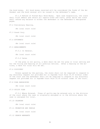the bond money. All bond money received will be considered the funds of the defendant and the bond receipt will be issued in the defendant's name.

 67.1.6 Refund of Posted Bail Bond Money. Upon case disposition, the clerk shall first deduct and retain all unpaid fines and costs, after which the clerk shall refund any balance to either the defendant or the defendant's designated payee.

67.2 Preliminary Hearing.

(No local court rule)

67.3 Grand Jury.

(No local court rule)

67.4 ATTORNEYS

(No local court rule)

67.5 ARRAIGNMENTS

67.5.1 In General.

(No local court rule)

67.5.2 Dates

 If the plea is not guilty, a date shall be set for plea or trial setting and for the filing and hearing of all pretrial motions. After a hearing on the motions, a date for trial will be set.

#### 67.6 DISCOVERY

Unless agreed by the parties, the state shall not be required to respond to any discovery request not provided for in Supreme Court Rule 25.03 without order of the court and the Defendant shall not be required to respond to any discovery request not provided for in Supreme Court Rule 25.05 without order of the Court.

67.8 PLEA BARGAINING

(No local court rule)

67.9 GUILTY PLEA

 67.9.1 Where Entered. Pleas of guilty may be entered only in the division of the court where the case is originally assigned or in the division where the case is assigned for trial.

67.10 CALENDAR

(No local court rule)

67.11 PROBATION AND PAROLE

(No local court rule)

67.12 SEARCH WARRANTS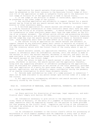1. Applications for search warrants filed pursuant to Chapter 542, RSMo shall be presented in the first instance to the Associate Circuit Judge of Division III if the application is made in Lafayette County and to the Associate Circuit Judge of Division VI if the application is made in Saline County.

 2. If the judge of the division is absent or unavailable, applications may be presented to any other judge of the circuit.

 3. Any verified application and affidavits in support thereof for a search warrant may be filed by and any search warrant may be issued by facsimile transmission or other electronic means.

 4. A verified application for search warrant and affidavit in support thereof filed by facsimile transmission or other electronic means shall have the same effect as the filing of an original document. A search warrant issued by facsimile transmission or other electronic means shall have the same effect as the filing of an original document. The affiant police officer and prosecuting attorney may sign the application and affidavit by electronic means or facsimile signature, and the judge may sign the search warrant by electronic means or facsimile signature. Said signatures shall have the same effect as an original signature.

 5. The officer filing an application for search warrant and affidavit in support thereof by any electronic means shall retain or maintain an original of the application and affidavit. The officer who executes the search warrant shall file the inventory return with the Circuit Clerk of the county where it was issued.

 6. Search warrants issued, all applications therefor, and any supporting affidavit or affidavits shall be confidential records, until the return is made on the warrant or until the warrant expires, whichever is earlier, and shall not be made available to any other person except upon written order of the Judge issuing the search warrant or the Circuit Judge.

 7. After the return is made on a search warrant or after the warrant expires, whichever is earlier, the search warrant and the application therefor, along with any supporting affidavit or affidavits accompanying the applications shall be available for inspection as are records of the court generally, provided that upon application of a party for good cause shown, a judge may order that the warrant, application, and any affidavits remain confidential during the pendency of an ongoing investigation to which these documents relate.

 8. Records made confidential by order of a judge pursuant to subsection 7 shall not be made available to any person except upon written order of a judge of the circuit.

 9. All applications, accompanying affidavits and search warrants will be centrally stored by the Circuit Clerk.

## RULE 68. DISSOLUTION OF MARRIAGE, LEGAL SEPARATION, PATERNITY, AND MODIFICATION

## 68.1 FILING REQUIREMENTS

 (a) Every petition for dissolution of marriage, legal separation, and modification shall comply with Section 452 RSMo.

 (b) Information necessary to give notice to the Department of Social Services, State of Missouri, of the entry of a judgment of dissolution of marriage or legal separation shall be supplied by counsel for the parties on forms provided for that purpose by the Circuit Clerk. Completion and filing of the information form shall be affected at the time of the filing of the petition for dissolution or legal separation.

 (c) An information statement to the Circuit Clerk's office for processing of maintenance or child support payments must be completed in every case in which such payments are to be ordered. The forms shall be furnished by the Circuit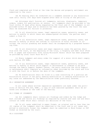Clerk and completed and filed at the time the decree and property settlement are submitted to the court.

 (d) No hearing shall be conducted nor a judgment entered in any dissolution case until thirty (30) days have elapsed after date of filing of the petition.

 (e) Attorneys shall furnish all judgments, motions, dismissals, temporary orders, orders for publication, et cetera. All judgments shall be provided to the Court within 45 days after being requested by the Court and if the Judgment is not provided within 45 days and no extension has been granted by the Court the case shall be dismissed for failure to prosecute.

 (f) In all dissolution cases, legal separation cases, paternity cases, and motions to modify in which there are unemancipated children, the parties shall submit a Form 14.

 (g) In all dissolution cases, legal separation cases, paternity cases, and motions to modify in which the custody or visitation of minor children is involved, the initial pleading and answer shall be accompanied by a proposed Parenting Plan.

 (h) In all dissolution cases and legal separation cases the parties shall file with the court, at the beginning of the trial, a Property and Debt Grid (Form D-9) in paper and electronic form (using Microsoft Excel) which has been prepared as provided by Local Court Rule 68.4.9.

(i) Every judgment and every order for support of a minor child shall comply with Section 452 RSMo.

(j) In all dissolution cases, legal separation cases, paternity cases, and motions to modify in which child support or maintenance is ordered to be paid through the Family Support Payment Center, the party receiving the child support or maintenance shall complete an information sheet provided by the clerk and file it with the Court on or before the date of the judgment.

(k) No modifications shall be filed in a case consisting of a previous administrative action if the party seeking modification is seeking modification of any issue not addressed by the Administrative Order previously entered.

#### 68.2 SEPARATION AGREEMENT

 In all cases where written separation agreements are made under the provisions of Section 452.325, RSMo., a copy of such executed agreement shall be entered into evidence at the time of the hearing.

## 68.3 FORMS OF JUDGMENTS

 (a) All judgments shall contain all findings and orders by the Judge and must include and recite all findings as required by statute and case law and shall contain an order which shall contain all decisions of the Court.

 (b) In all cases submitted in paper format, an original and no less than two (2) copies of the judgment shall be submitted to the Court and in all cases submitted in electronic format the judgment shall be submitted in Word format or PDF format as directed by the court.

68.4 DISCOVERY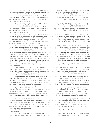1. In all actions for Dissolution of Marriage or Legal Separation, Opening Interrogatories (Form D-1 (with children) or Form D-2 (without children)), a Statement of Marital and Non-marital Assets and Debts (Form D-3), a Statement of Income and Expenses (Form D-4), and Opening Request for Production of Documents and Things (Form D-5) shall be answered and completed by each party, executed under oath and served on the opposing party within sixty (60) days from the date of service of the Petition.

2. In all actions for Modification, Opening Interrogatories (Form M-1), a Statement of Marital and Non-marital Assets and Debts (Form M-2), a Statement of Income and Expenses (Form M-3), and Opening Request for Production of Documents and Things (Form M-4) shall be answered and completed by each party, executed under oath and served on the opposing party within sixty (60) days from the date of service of the Motion.

3. In all actions for determination of Paternity, Opening Interrogatories (Form P-1), a Statement of Marital and Non-marital Assets and Debts (Form P-2), a Statement of Income and Expenses (Form P-3), and Opening Request for Production of Documents and Things (Form P-4) shall be answered and completed by each party, executed under oath and served on the opposing party within sixty (60) days from the date of service of the Petition.

4. In all actions for Dissolution of Marriage, Legal Separation, Modification, and Paternity, any party may serve upon any other party a Second Request for Production of Documents and Things (Form D-6) that request that the party served execute one or more authorizations for release of information (Forms D-7 and D-8). Such request shall designate the specific person or entity to which the authorization will be submitted. Such request may, without leave of Court, be served upon the petitioner or movant, as the case may be, after commencement of the action and upon any other party with or after service of the summons and the initial pleading upon that party. The party upon whom the request has been served shall execute the requested authorization(s) before a notary public, and serve the executed authorization(s) to the requesting party within twenty (20) days after service of the request.

 The party upon whom the request is served may object to execution of the authorization, however, any such objection shall be filed with the Court and served upon the party requesting same within the time permitted for execution of same, stating the specific reasons for objection. Failure to timely object to the request shall be deemed a waiver of any objection.

 Objections to authorizations may be presented to the Court for ruling by either party by motion and notice of hearing at any time after objections are served. If, after notice and hearing, objections to the authorizations which are pre-approved by the Court are overruled, the Court may assess against such objecting party or the party's attorney, or both of them, the attorney's fees reasonably incurred in having such objection overruled.

 Upon the request of the authorizing party and upon payment by the authorizing party of one-half of the costs incurred by the requesting party, plus a reasonable copying fee not to exceed twenty-five (25) cents per page, copies of all documents obtained by the requesting party shall be provided to the authorizing party within ten (10) days from the receipt of the authorizing party's said payment.

5. A certificate of service of answers required in paragraphs 1-3 above and of the Second Request for Production of Documents and Things and return of the authorization(s) allowed in paragraph 4 above shall be filed with the Court.

6. The answering and completion of the forms required in paragraphs 1-3 above may be waived if both parties agree in writing to the waiver and that the case is not contested.

7. All standard discovery must be completed by the date of the settlement conference.

8. All information requested in the forms required in paragraphs 1-3 above shall be updated within 15 days prior to trial if any changes occur prior to the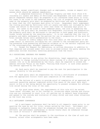trial date, except significant changes such as employment, income or expert witnesses which should be updated immediately.

9. A completed Dissolution of Marriage Property and Debt Grid (Form D-9) including all assets and debts of Petitioner and Respondent and such other information requested thereon shall be prepared in all contested cases prior to trial. For cases to be tried in odd numbered years, the list of property and debts to be used on the property grid shall be prepared by Petitioner and sent to Respondent no later than ten (10) business days prior to trial. Respondent shall supplement the listing provided by Petitioner with all assets and debts not included by Petitioner and return to Petitioner no later than three (3) business days prior to trial. For cases to be tried in even numbered years, the role in preparing the listing for the grid shall be reversed with Respondent initiating the preparation. The property grid shall be delivered to the parties in both paper and electronic format unless waived by the receiving party. It is not required that the list of property and debts exchanged by the parties for use in preparation of the grid for trial include values until presentation to the Court.

 10. Failure to timely comply with this rule shall at the discretion of the judge result in sanctions including but not limited to the noncompliant party being prevented from presenting affirmative evidence as to the matters inquired into in the interrogatories, document requests and releases.

 11. Except for Request for Admissions, no written discovery in addition to that required and allowed under this rule is allowed without the party seeking the additional written discovery receiving permission from the Court.

#### 68.5 EDUCATIONAL SEMINARS FOR PARENTS

 (a) All parties in any action for dissolution, legal separation, paternity, and motions to change custody/visitation where custody of a child under the age of sixteen (16) is to be determined by the Court, shall be required to attend the seminar entitled "Focus on the Kids", "Putting Kids First", or such other parenting seminar approved by the Court.

 (b) Each party shall be required to pay the cost for participation in the seminar directly to the provider.

 (c) Each party shall be responsible for filing a certificate of attendance with the appropriate Circuit Clerk upon completion of the seminar.

 (d) The failure of a party to provide proof of completion of an approved educational parenting seminar completed within five years of the court date shall result in him or her being denied the opportunity to present evidence for affirmative relief during the trial of the case.

 (e) For good cause shown, the requirements of this rule will be waived. "Good cause" includes, but is not limited to, situations where custody and visitation are not contested in court (i.e. all parties not in default have stipulated and agreed to the custody and visitation of every child) and such other situations as the Court may allow.

#### 68.6 SETTLEMENT CONFERENCE

 (a) A settlement conference shall be held in all domestic cases prior to requesting the case be set for trial, unless waived by the Court. Settlement conferences in Lafayette County shall be scheduled through the circuit clerk (660- 259-6101) and settlement conferences in Saline County shall be scheduled through the clerk of Division V (660-886-8808).

 (b) The parties shall be present in the courthouse at the time of such conference, unless other arrangements have been made.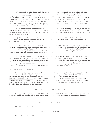(c) Counsel shall file and furnish to opposing counsel at the time of the conference a proposal to settle the issues in dispute. If property division is in dispute, counsel shall file and furnish to opposing counsel at the time of the conference a proposal on the division of property setting forth the value of said property. (The use of Form D-9 is the preferred form for furnishing the proposal.) If the issue is child custody and visitation, a proposed Parenting Plan setting forth custody and visitation shall be filed. If the issue is child support, a proposed Form 14 shall be filed.

 (d) A settlement conference shall be held at least thirty (30) days prior to the date scheduled for trial. If there is no trial date scheduled, the Court may schedule the matter for trial at the conclusion of the settlement conference for a date in the future.

 (e) The settlement conference shall be conducted within this time frame unless the Court finds reason to waive the time. A waiver shall be requested in writing to a date certain.

 (f) Failure of an attorney or litigant to appear at or cooperate in the settlement conference may subject the attorney or litigant to sanctions, including an award of attorney's fees and expenses to any attorney or litigant prejudiced or inconvenienced by such conduct. The Court may excuse an attorney's, or a litigant's failure to appear upon good cause shown.

 (g) The settlement conference shall be conducted by the Court as a strong settlement tool. The discovery required by Local Court Rule 68.4 and additional documents as required by Local Court Rule 68.6(c) will be provided to the Court at the time of the settlement conference, unless previously waived by the Court in a status pre-trial conference. There will be no change of judge granted after the pre-trial conference, except as provided by Supreme Court Rules.

## 68.7 SELF REPRESENTATION

 Every party not represented by counsel who participates in a proceeding for dissolution of marriage, legal separation, paternity, or the modification of a judgment in any such proceeding shall use the pleading forms found at www.selfrepresent.mo.gov and shall complete the litigant awareness program designed by the Supreme Court also found at the above listed website. The litigant shall complete this program and shall certify to the Court, in writing, that he/she has completed this program.

## RULE 69. FAMILY ACCESS MOTIONS

 All family access motions shall be filed separate from any other request for relief, will be assigned a sub-case number, and will require a separate filing fee.

RULE 70. MUNICIPAL DIVISION

(No local court rule)

#### RULE 71. PARTITION

(No local court rule)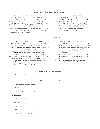# RULE 72. ADMINISTRATIVE REVIEWS

On all reviews, relators or plaintiffs are required to file and to serve their briefs and suggested conclusions of law and findings of fact within thirty (30) days following the filing of the record in this Court; thereafter, respondents or defendants are required to file and to serve their briefs and suggested conclusions of law and findings of fact within thirty (30) days after compliance by relators or plaintiffs; thereafter, relators or plaintiffs are required to file and to serve their reply briefs within ten (10) days after compliance by respondents of defendants. No brief shall exceed twenty-five (25) pages in length.

 Thereafter, either party may notify this Court that the cause is ready for argument and submission.

#### RULE 73. PROBATE

In all guardianship or conservatorship cases, where a criminal record review, sexual offender registry review, credit history investigation, or other report is required by §475.050 RSMo., each required report, certified by the issuing agency, shall be filed with the petition, unless otherwise permitted by the judge assigned to the case. In the event an issuing agency does not have a procedure for providing certified copies of reports, then the report shall be certified by affidavit of a person with knowledge of facts in the report.

In all decedent's estate cases, a copy of a death certificate of the decedent shall be filed with the application seeking the opening of the estate, unless otherwise permitted by the judge assigned to the case.

In all minor's estate cases, a copy of a birth certificate of the minor shall be filed with the application seeking opening of the estate, unless otherwise permitted by the judge assigned to the case.

## RULE 74. SMALL CLAIMS

(No local court rule)

RULE 75. TRUST ESTATES

(No local court rule)

75.1 INVENTORY

(No local court rule)

75.2 REPORTS

(No local court rule)

75.3 RECORD

(No local court rule)

75.4 AUDIT

(No local court rule)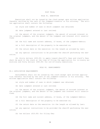#### POST TRIAL

# RULE 81. EXECUTION

 Executions shall not be issued by the clerk except upon written application therefor verified by the oath of the judgment-creditor or his attorney. The written application shall contain the following:

- (a) style and number of case in which judgment was obtained;
- (b) date judgment entered or last revived;

 (c) the amount of the original judgment, the amount of accrued interest on the original judgment, and the amount of the judgment and interest still unsatisfied;

- (d) the full name and current address, if known, of the judgment-debtor;
- (e) a full description of the property to be executed on;
- (f) the return date on the execution (in the length as allowed by law);

 (g) any special instructions to be provided the sheriff performing the execution.

 (h) thirty dollars (\$30.00) to apply toward sheriff's fees and clerk's fees shall be paid to the clerk at the time of filing the application for in-county executions and forty dollars (\$40.00) for out-of-county executions.

## RULE 82. GARNISHMENTS

## 82.1 APPLICATION REQUIREMENTS

 Garnishments shall not be issued by the clerk except upon written application therefor verified by the oath of the judgment-creditor or his attorney. The written application shall contain the following:

- (a) style and number of case in which judgment was obtained;
- (b) date judgment entered or last revived;

 (c) the amount of the original judgment, the amount of accrued interest on the original judgment, and the amount of the judgment and interest still unsatisfied;

- (d) the full name and current address, if known, of the judgment-debtor;
- (e) a full description of the property to be executed on;
- (f) the return date on the execution (in the length as allowed by law);

 (g) any special instructions to be provided the sheriff performing the execution;

(h) ten dollars (\$10.00) for filing fee;

38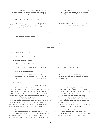(i) for pro se applicants-thirty dollars (\$30.00) to apply toward sheriff's fees and clerk's fees shall be paid to the clerk at the time of filing the application for in-county executions and forty dollars (\$40.00) for out-of-county executions.

82.2 TERMINATION OF CONTINUOUS WAGE GARNISHMENT

 In addition to as otherwise provided by law, a continuous wage garnishment shall terminate if a garnishor fails to file a statement of judgment balance as provided by Supreme Court Rule 90.19(b).

83. JUDICIAL SALES

(No local court rule)

#### INTERNAL ORGANIZATION

RULE 100

100.1 PRESIDING JUDGE

(No local court rule)

100.2 LOCAL COURT RULES

100.2.1 Formulation

Local court rules are formulated and approved by the court en banc.

100.2.2 Publication

Local court rules are filed with the Supreme Court and published by the Supreme Court annually. A copy of the Local Court Rules is available from the presiding judge's secretary at cindy.heins@courts.mo.gov.

100.3 LIBRARY FUND

 Pursuant to Section 488.426 RSMo., any party filing a civil case in the circuit shall, at the time of filing of the suit, be required to deposit with the clerk of the court a surcharge in the amount of fifteen dollars (\$15.00) in addition to all other deposits required by law or court rule. All sums collected pursuant to this rule shall be governed by Section 488.429 RSMo., et seq. This rule shall not apply to proceedings when costs are waived or are to be paid by the county or state or any city. On or before the 10th day of each month, each Clerk who is responsible for the collection of such fees shall pay the entire fund created by said deposits during the preceding month to the treasurer of said fund as hereinafter designated. Said fund shall be applied and expended in the county collected under the direction and order of the presiding judge for the maintenance and upkeep of the law library and for such other purposes allowed by law.

 Treasurers of the law library fund in the various counties of the Circuit shall be designated by order of the presiding judge. The treasurer of the law library fund shall in January of each year file with the presiding judge a report as of December 31st of each year, setting forth the monies received and disbursed during the preceding twelve month period.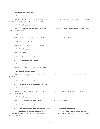## 100.4 STORAGE OF RECORDS

(No local court rule)

 100.4.1 Reproduction, Preservation, Archival Storage and Disposal of Original Circuit Court Files (and Their Contents).

(No local court rule)

 100.4.2 Reproduction and Preservation of Court Records Other than Files (and Their Contents).

(No local court rule)

100.4.3 Responsibility for Indexing and Preserving Court Reporter Notes.

(No local court rule)

100.4.4 Identification of Reporter's Notes.

(No local court rule)

100.4.5 Index.

(No local court rule)

100.4.6 Storage of Notes.

(No local court rule)

100.4.7 Notes of Substitute Reporters.

(No local court rule)

 100.4.8 Storage of Notes Upon Retirement, Termination or Death of Court Reporter.

(No local court rule)

100.4.9 Boxing and Storing of Old Notes.

(No local court rule)

 100.4.10 Responsibility for Furnishing Materials and Space for Storage of court Reporter Notes.

(No local court rule)

100.4.11 Procedure for Examination of Criminal Records.

(No local court rule)

100.4.12 Procedure for Expunging and Closing Criminal Records.

All records ordered expunged shall be treated as a level five case as defined by court operating rules promulgated by the Office of the State Courts' Administrator.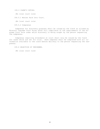100.5 CLERK'S DUTIES. (No local court rule) 100.5.1 Monies Paid Into Court. (No local court rule)

100.5.2 Subpoenas

 Subpoenas for discovery purposes shall be issued by the Clerk as allowed by Missouri Supreme Court Rules after full compliance of the requirements of the Supreme Court Rule under which discovery is being sought by the person requesting the subpoenas.

 Subpoenas requiring attendance at court shall only be issued by the Clerk for cases which are set for trial. Each subpoena shall be completed with all information available to the clerk before delivery to the person requesting the subpoenas.

100.6 SELECTION OF VENIREMEN.

(No local court rule)